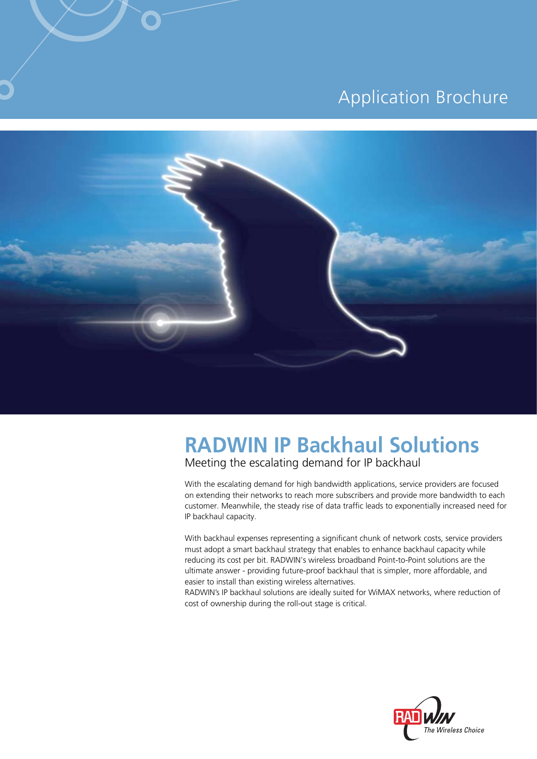## **Application Brochure**



# **RADWIN IP Backhaul Solutions**

Meeting the escalating demand for IP backhaul

With the escalating demand for high bandwidth applications, service providers are focused on extending their networks to reach more subscribers and provide more bandwidth to each customer. Meanwhile, the steady rise of data traffic leads to exponentially increased need for IP backhaul capacity.

With backhaul expenses representing a significant chunk of network costs, service providers must adopt a smart backhaul strategy that enables to enhance backhaul capacity while reducing its cost per bit. RADWIN's wireless broadband Point-to-Point solutions are the ultimate answer - providing future-proof backhaul that is simpler, more affordable, and easier to install than existing wireless alternatives.

RADWIN's IP backhaul solutions are ideally suited for WiMAX networks, where reduction of cost of ownership during the roll-out stage is critical.

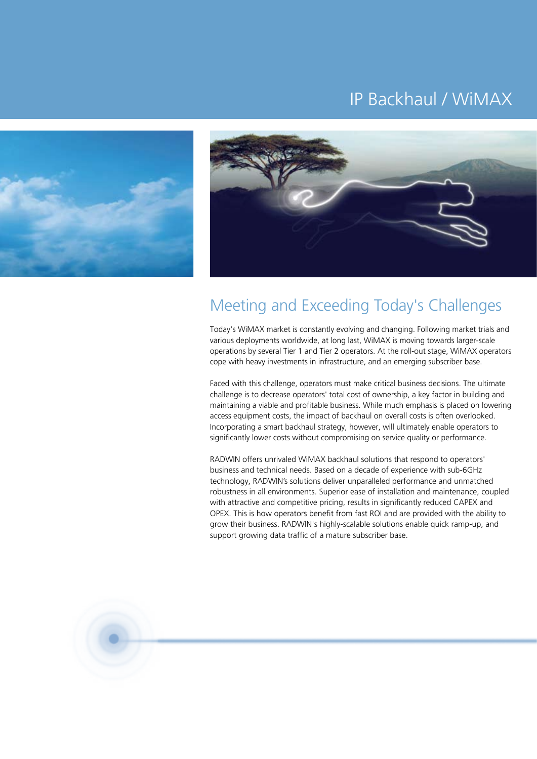## IP Backhaul / WiMAX





## Meeting and Exceeding Today's Challenges

Today's WiMAX market is constantly evolving and changing. Following market trials and various deployments worldwide, at long last, WiMAX is moving towards larger-scale operations by several Tier 1 and Tier 2 operators. At the roll-out stage, WiMAX operators cope with heavy investments in infrastructure, and an emerging subscriber base.

Faced with this challenge, operators must make critical business decisions. The ultimate challenge is to decrease operators' total cost of ownership, a key factor in building and maintaining a viable and profitable business. While much emphasis is placed on lowering access equipment costs, the impact of backhaul on overall costs is often overlooked. Incorporating a smart backhaul strategy, however, will ultimately enable operators to significantly lower costs without compromising on service quality or performance.

RADWIN offers unrivaled WiMAX backhaul solutions that respond to operators' business and technical needs. Based on a decade of experience with sub-6GHz technology, RADWIN's solutions deliver unparalleled performance and unmatched robustness in all environments. Superior ease of installation and maintenance, coupled with attractive and competitive pricing, results in significantly reduced CAPEX and OPEX. This is how operators benefit from fast ROI and are provided with the ability to grow their business. RADWIN's highly-scalable solutions enable quick ramp-up, and support growing data traffic of a mature subscriber base.

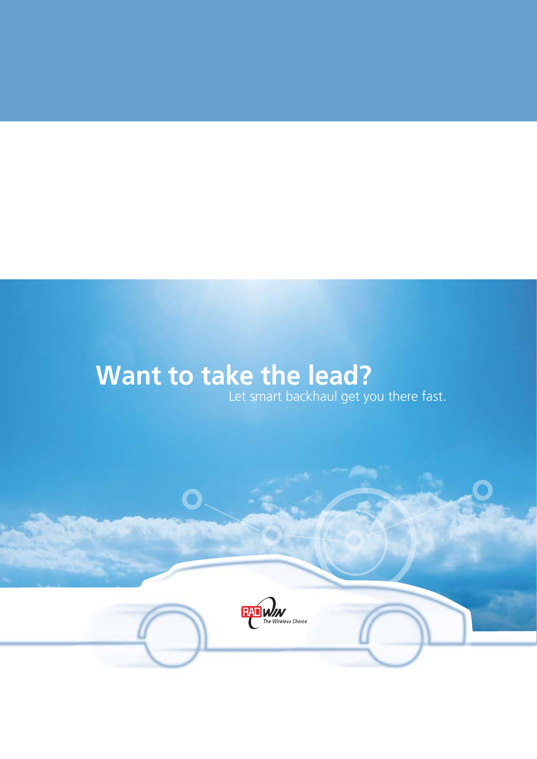# **Want to take the lead?**

 $\overline{\mathbf{O}}$ 

Let smart backhaul get you there fast.

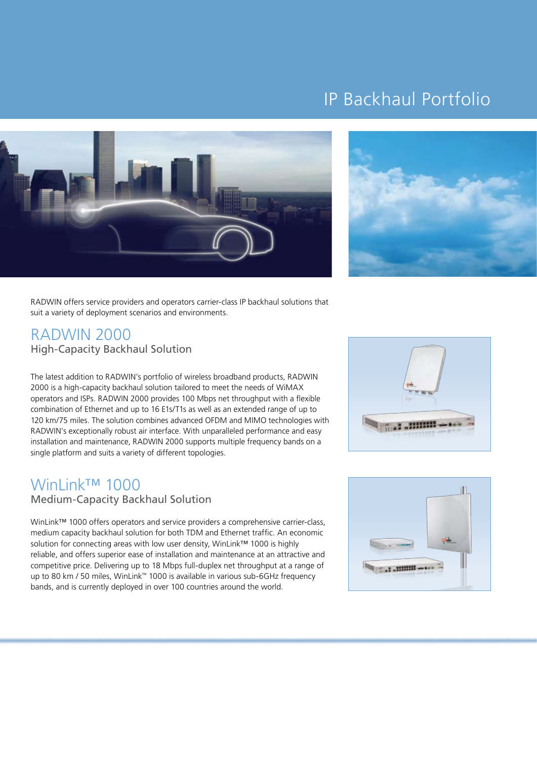## IP Backhaul Portfolio





RADWIN offers service providers and operators carrier-class IP backhaul solutions that suit a variety of deployment scenarios and environments.

### **RADWIN 2000** High-Capacity Backhaul Solution

The latest addition to RADWIN's portfolio of wireless broadband products, RADWIN 2000 is a high-capacity backhaul solution tailored to meet the needs of WiMAX operators and ISPs. RADWIN 2000 provides 100 Mbps net throughput with a flexible combination of Ethernet and up to 16 E1s/T1s as well as an extended range of up to 120 km/75 miles. The solution combines advanced OFDM and MIMO technologies with RADWIN's exceptionally robust air interface. With unparalleled performance and easy installation and maintenance, RADWIN 2000 supports multiple frequency bands on a single platform and suits a variety of different topologies.

## **WinLink™ 1000**

### Medium-Capacity Backhaul Solution

WinLink<sup>™</sup> 1000 offers operators and service providers a comprehensive carrier-class, medium capacity backhaul solution for both TDM and Ethernet traffic. An economic solution for connecting areas with low user density, WinLink™ 1000 is highly reliable, and offers superior ease of installation and maintenance at an attractive and competitive price. Delivering up to 18 Mbps full-duplex net throughput at a range of up to 80 km / 50 miles, WinLink<sup>™</sup> 1000 is available in various sub-6GHz frequency bands, and is currently deployed in over 100 countries around the world.



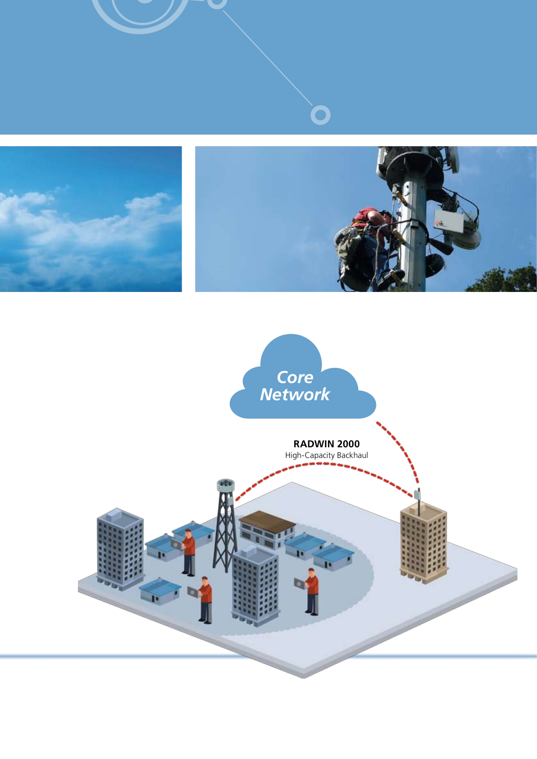